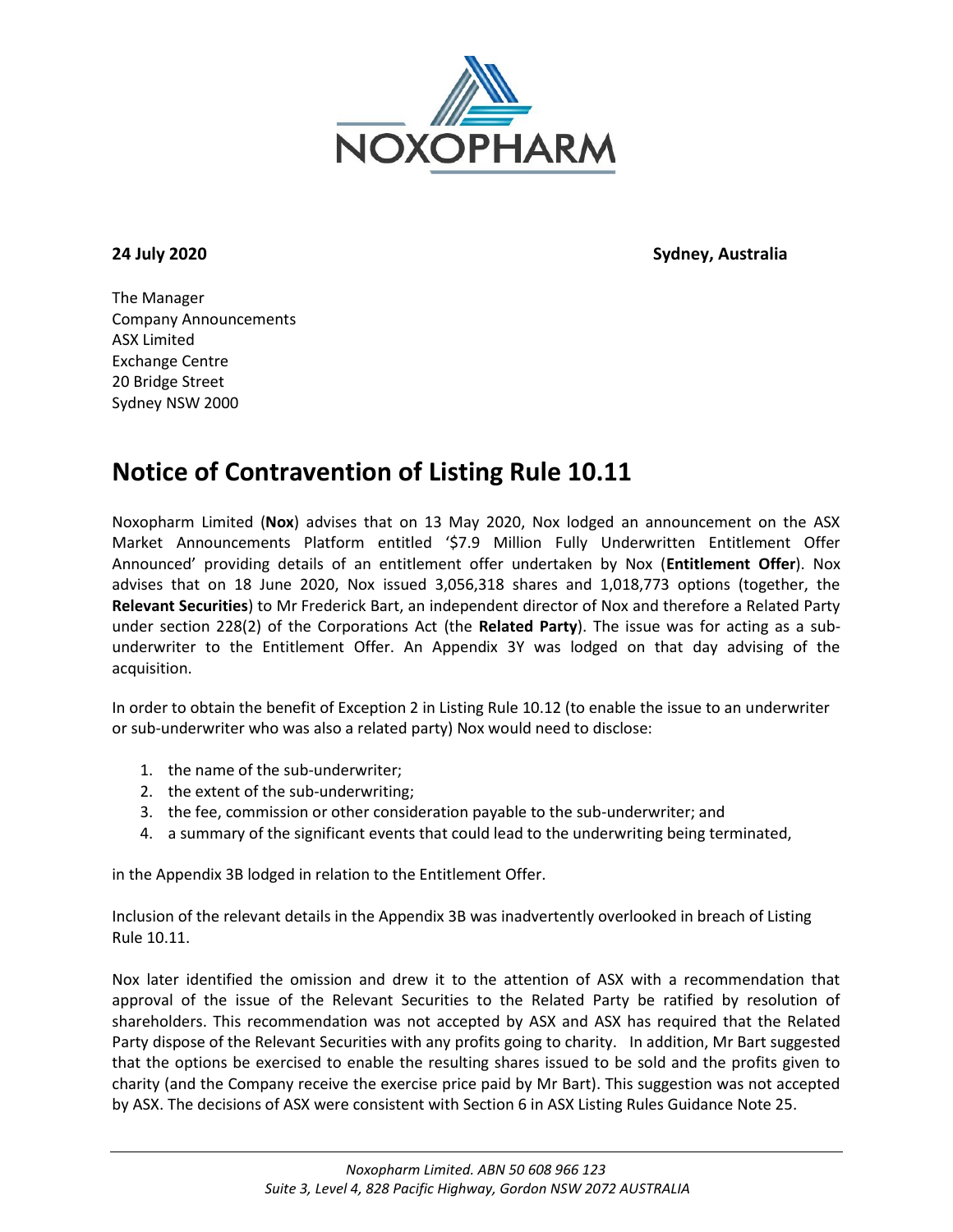

**24 July 2020 Sydney, Australia**

The Manager Company Announcements ASX Limited Exchange Centre 20 Bridge Street Sydney NSW 2000

## **Notice of Contravention of Listing Rule 10.11**

Noxopharm Limited (**Nox**) advises that on 13 May 2020, Nox lodged an announcement on the ASX Market Announcements Platform entitled '\$7.9 Million Fully Underwritten Entitlement Offer Announced' providing details of an entitlement offer undertaken by Nox (**Entitlement Offer**). Nox advises that on 18 June 2020, Nox issued 3,056,318 shares and 1,018,773 options (together, the **Relevant Securities**) to Mr Frederick Bart, an independent director of Nox and therefore a Related Party under section 228(2) of the Corporations Act (the **Related Party**). The issue was for acting as a subunderwriter to the Entitlement Offer. An Appendix 3Y was lodged on that day advising of the acquisition.

In order to obtain the benefit of Exception 2 in Listing Rule 10.12 (to enable the issue to an underwriter or sub-underwriter who was also a related party) Nox would need to disclose:

- 1. the name of the sub-underwriter;
- 2. the extent of the sub-underwriting;
- 3. the fee, commission or other consideration payable to the sub-underwriter; and
- 4. a summary of the significant events that could lead to the underwriting being terminated,

in the Appendix 3B lodged in relation to the Entitlement Offer.

Inclusion of the relevant details in the Appendix 3B was inadvertently overlooked in breach of Listing Rule 10.11.

Nox later identified the omission and drew it to the attention of ASX with a recommendation that approval of the issue of the Relevant Securities to the Related Party be ratified by resolution of shareholders. This recommendation was not accepted by ASX and ASX has required that the Related Party dispose of the Relevant Securities with any profits going to charity. In addition, Mr Bart suggested that the options be exercised to enable the resulting shares issued to be sold and the profits given to charity (and the Company receive the exercise price paid by Mr Bart). This suggestion was not accepted by ASX. The decisions of ASX were consistent with Section 6 in ASX Listing Rules Guidance Note 25.